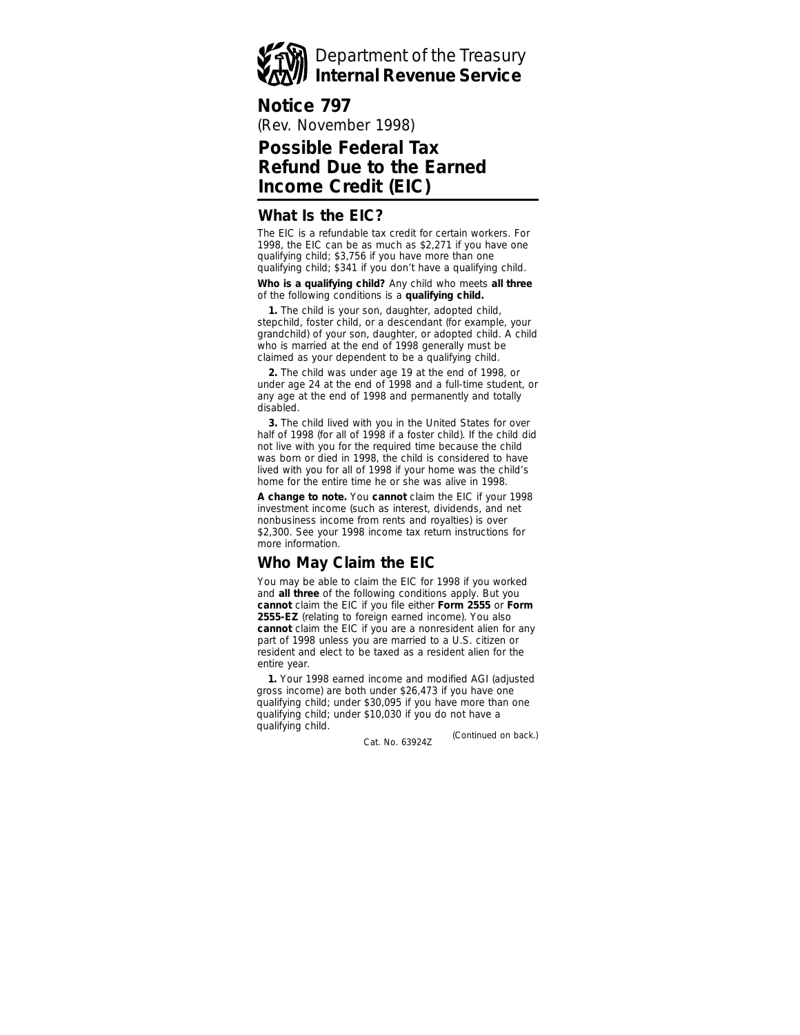

## **Notice 797**

(Rev. November 1998)

# **Possible Federal Tax Refund Due to the Earned Income Credit (EIC)**

#### **What Is the EIC?**

The EIC is a refundable tax credit for certain workers. For 1998, the EIC can be as much as \$2,271 if you have one qualifying child; \$3,756 if you have more than one qualifying child; \$341 if you don't have a qualifying child.

**Who is a qualifying child?** Any child who meets **all three** of the following conditions is a **qualifying child.**

**1.** The child is your son, daughter, adopted child, stepchild, foster child, or a descendant (for example, your grandchild) of your son, daughter, or adopted child. A child who is married at the end of 1998 generally must be claimed as your dependent to be a qualifying child.

**2.** The child was under age 19 at the end of 1998, or under age 24 at the end of 1998 and a full-time student, or any age at the end of 1998 and permanently and totally disabled.

**3.** The child lived with you in the United States for over half of 1998 (for all of 1998 if a foster child). If the child did not live with you for the required time because the child was born or died in 1998, the child is considered to have lived with you for all of 1998 if your home was the child's home for the entire time he or she was alive in 1998.

**A change to note.** You **cannot** claim the EIC if your 1998 investment income (such as interest, dividends, and net nonbusiness income from rents and royalties) is over \$2,300. See your 1998 income tax return instructions for more information.

# **Who May Claim the EIC**

You may be able to claim the EIC for 1998 if you worked and **all three** of the following conditions apply. But you **cannot** claim the EIC if you file either **Form 2555** or **Form 2555-EZ** (relating to foreign earned income). You also **cannot** claim the EIC if you are a nonresident alien for any part of 1998 unless you are married to a U.S. citizen or resident and elect to be taxed as a resident alien for the entire year.

*(Continued on back.)* **1.** Your 1998 earned income and modified AGI (adjusted gross income) are both under \$26,473 if you have one qualifying child; under \$30,095 if you have more than one qualifying child; under \$10,030 if you do not have a qualifying child.

Cat. No. 63924Z